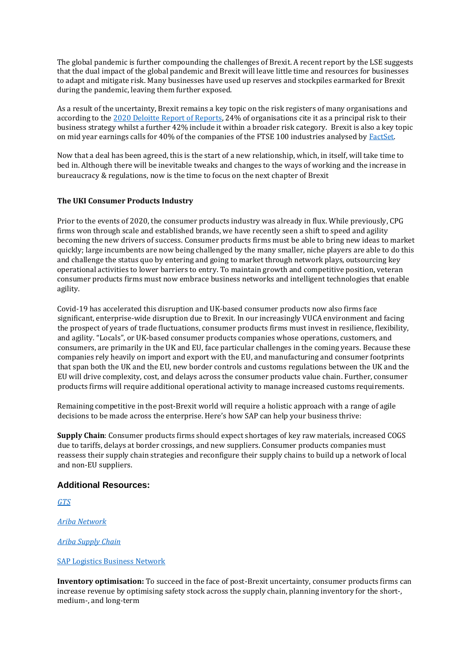The global pandemic is further compounding the challenges of Brexit. A recent report by the LSE suggests that the dual impact of the global pandemic and Brexit will leave little time and resources for businesses to adapt and mitigate risk. Many businesses have used up reserves and stockpiles earmarked for Brexit during the pandemic, leaving them further exposed.

As a result of the uncertainty, Brexit remains a key topic on the risk registers of many organisations and according to the [2020 Deloitte Report of Reports,](https://www2.deloitte.com/uk/en/pages/audit/articles/annual-report-insights-2020.html) 24% of organisations cite it as a principal risk to their business strategy whilst a further 42% include it within a broader risk category. Brexit is also a key topic on mid year earnings calls for 40% of the companies of the FTSE 100 industries analysed by **FactSet**.

Now that a deal has been agreed, this is the start of a new relationship, which, in itself, will take time to bed in. Although there will be inevitable tweaks and changes to the ways of working and the increase in bureaucracy & regulations, now is the time to focus on the next chapter of Brexit

## **The UKI Consumer Products Industry**

Prior to the events of 2020, the consumer products industry was already in flux. While previously, CPG firms won through scale and established brands, we have recently seen a shift to speed and agility becoming the new drivers of success. Consumer products firms must be able to bring new ideas to market quickly; large incumbents are now being challenged by the many smaller, niche players are able to do this and challenge the status quo by entering and going to market through network plays, outsourcing key operational activities to lower barriers to entry. To maintain growth and competitive position, veteran consumer products firms must now embrace business networks and intelligent technologies that enable agility.

Covid-19 has accelerated this disruption and UK-based consumer products now also firms face significant, enterprise-wide disruption due to Brexit. In our increasingly VUCA environment and facing the prospect of years of trade fluctuations, consumer products firms must invest in resilience, flexibility, and agility. "Locals", or UK-based consumer products companies whose operations, customers, and consumers, are primarily in the UK and EU, face particular challenges in the coming years. Because these companies rely heavily on import and export with the EU, and manufacturing and consumer footprints that span both the UK and the EU, new border controls and customs regulations between the UK and the EU will drive complexity, cost, and delays across the consumer products value chain. Further, consumer products firms will require additional operational activity to manage increased customs requirements.

Remaining competitive in the post-Brexit world will require a holistic approach with a range of agile decisions to be made across the enterprise. Here's how SAP can help your business thrive:

**Supply Chain**: Consumer products firms should expect shortages of key raw materials, increased COGS due to tariffs, delays at border crossings, and new suppliers. Consumer products companies must reassess their supply chain strategies and reconfigure their supply chains to build up a network of local and non-EU suppliers.

## **Additional Resources:**

*[GTS](https://www.sap.com/products/global-trade-management.html?btp=22100c02-8273-4478-87ba-009ce04e4e92)*

*[Ariba Network](https://www.ariba.com/ariba-network)*

*Ariba Supply Chain*

SAP Logistics Business Network

**Inventory optimisation:** To succeed in the face of post-Brexit uncertainty, consumer products firms can increase revenue by optimising safety stock across the supply chain, planning inventory for the short-, medium-, and long-term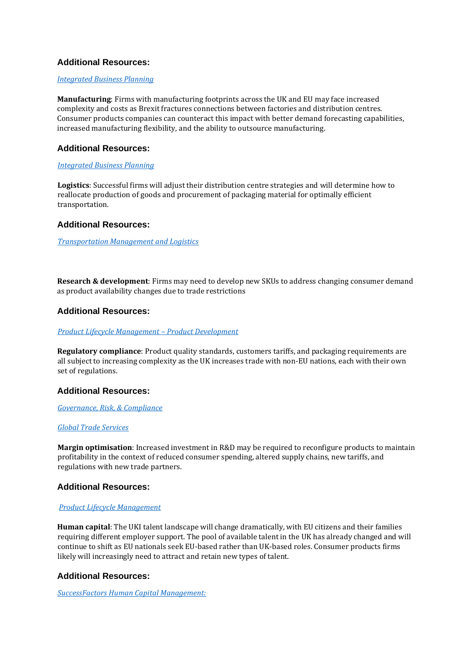# **Additional Resources:**

## *[Integrated Business Planning](https://www.sap.com/uk/products/supply-chain-management/supply-chain-planning.html)*

**Manufacturing**: Firms with manufacturing footprints across the UK and EU may face increased complexity and costs as Brexit fractures connections between factories and distribution centres. Consumer products companies can counteract this impact with better demand forecasting capabilities, increased manufacturing flexibility, and the ability to outsource manufacturing.

# **Additional Resources:**

## *[Integrated Business Planning](https://www.sap.com/uk/products/integrated-business-planning.html)*

**Logistics**: Successful firms will adjust their distribution centre strategies and will determine how to reallocate production of goods and procurement of packaging material for optimally efficient transportation.

## **Additional Resources:**

*[Transportation Management and Logistics](https://www.sap.com/uk/products/transportation-logistics.html)*

**Research & development**: Firms may need to develop new SKUs to address changing consumer demand as product availability changes due to trade restrictions

## **Additional Resources:**

#### *[Product Lifecycle Management](https://www.sap.com/products/enterprise-product-development.html?btp=22100c02-8273-4478-87ba-009ce04e4e92) – Product Development*

**Regulatory compliance**: Product quality standards, customers tariffs, and packaging requirements are all subject to increasing complexity as the UK increases trade with non-EU nations, each with their own set of regulations.

## **Additional Resources:**

## *[Governance, Risk, & Compliance](https://www.sap.com/uk/products/erp-financial-management/grc.html)*

## *[Global Trade Services](https://www.sap.com/uk/products/global-trade-management.html)*

**Margin optimisation**: Increased investment in R&D may be required to reconfigure products to maintain profitability in the context of reduced consumer spending, altered supply chains, new tariffs, and regulations with new trade partners.

## **Additional Resources:**

## *[Product Lifecycle Management](https://www.sap.com/uk/products/supply-chain-management/plm-r-d-engineering.html)*

**Human capital**: The UKI talent landscape will change dramatically, with EU citizens and their families requiring different employer support. The pool of available talent in the UK has already changed and will continue to shift as EU nationals seek EU-based rather than UK-based roles. Consumer products firms likely will increasingly need to attract and retain new types of talent.

## **Additional Resources:**

*SuccessFactors [Human Capital Management:](https://www.sap.com/uk/products/human-resources-hcm/about-successfactors.html)*